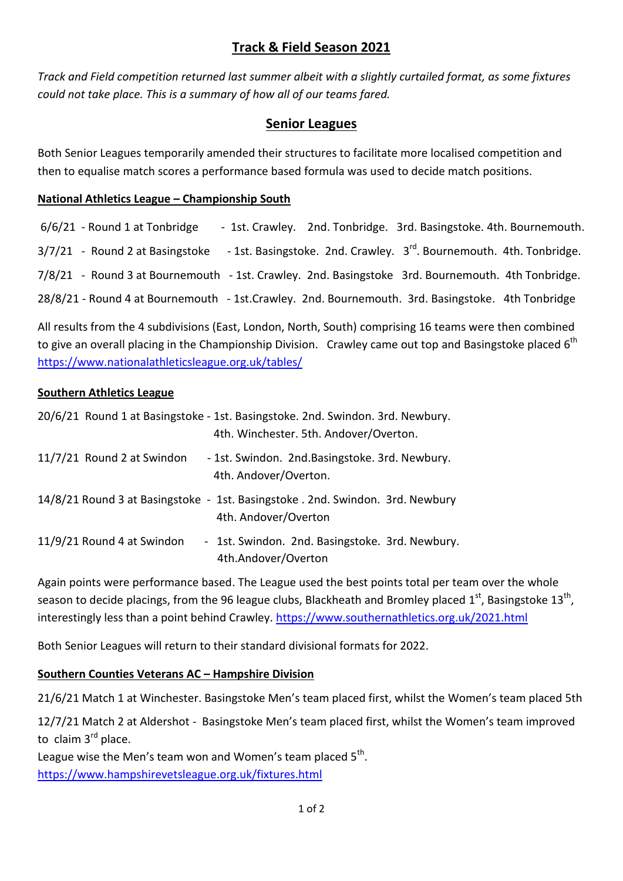# **Track & Field Season 2021**

*Track and Field competition returned last summer albeit with a slightly curtailed format, as some fixtures could not take place. This is a summary of how all of our teams fared.*

## **Senior Leagues**

Both Senior Leagues temporarily amended their structures to facilitate more localised competition and then to equalise match scores a performance based formula was used to decide match positions.

### **National Athletics League – Championship South**

| 6/6/21 - Round 1 at Tonbridge                                                                            |  | - 1st. Crawley. 2nd. Tonbridge. 3rd. Basingstoke. 4th. Bournemouth. |  |
|----------------------------------------------------------------------------------------------------------|--|---------------------------------------------------------------------|--|
| $3/7/21$ - Round 2 at Basingstoke - 1st. Basingstoke. 2nd. Crawley. $3rd$ . Bournemouth. 4th. Tonbridge. |  |                                                                     |  |
| 7/8/21 - Round 3 at Bournemouth - 1st. Crawley. 2nd. Basingstoke 3rd. Bournemouth. 4th Tonbridge.        |  |                                                                     |  |
| 28/8/21 - Round 4 at Bournemouth - 1st. Crawley. 2nd. Bournemouth. 3rd. Basingstoke. 4th Tonbridge       |  |                                                                     |  |

All results from the 4 subdivisions (East, London, North, South) comprising 16 teams were then combined to give an overall placing in the Championship Division. Crawley came out top and Basingstoke placed  $6^{\text{th}}$ <https://www.nationalathleticsleague.org.uk/tables/>

### **Southern Athletics League**

|                            | 20/6/21 Round 1 at Basingstoke - 1st. Basingstoke. 2nd. Swindon. 3rd. Newbury.<br>4th. Winchester. 5th. Andover/Overton. |
|----------------------------|--------------------------------------------------------------------------------------------------------------------------|
| 11/7/21 Round 2 at Swindon | - 1st. Swindon. 2nd. Basingstoke. 3rd. Newbury.<br>4th. Andover/Overton.                                                 |
|                            | 14/8/21 Round 3 at Basingstoke - 1st. Basingstoke . 2nd. Swindon. 3rd. Newbury<br>4th. Andover/Overton                   |
| 11/9/21 Round 4 at Swindon | - 1st. Swindon. 2nd. Basingstoke. 3rd. Newbury.<br>4th.Andover/Overton                                                   |

Again points were performance based. The League used the best points total per team over the whole season to decide placings, from the 96 league clubs, Blackheath and Bromley placed 1<sup>st</sup>, Basingstoke 13<sup>th</sup>, interestingly less than a point behind Crawley.<https://www.southernathletics.org.uk/2021.html>

Both Senior Leagues will return to their standard divisional formats for 2022.

### **Southern Counties Veterans AC – Hampshire Division**

21/6/21 Match 1 at Winchester. Basingstoke Men's team placed first, whilst the Women's team placed 5th

12/7/21 Match 2 at Aldershot - Basingstoke Men's team placed first, whilst the Women's team improved to claim  $3<sup>rd</sup>$  place.

League wise the Men's team won and Women's team placed  $5^{th}$ . <https://www.hampshirevetsleague.org.uk/fixtures.html>